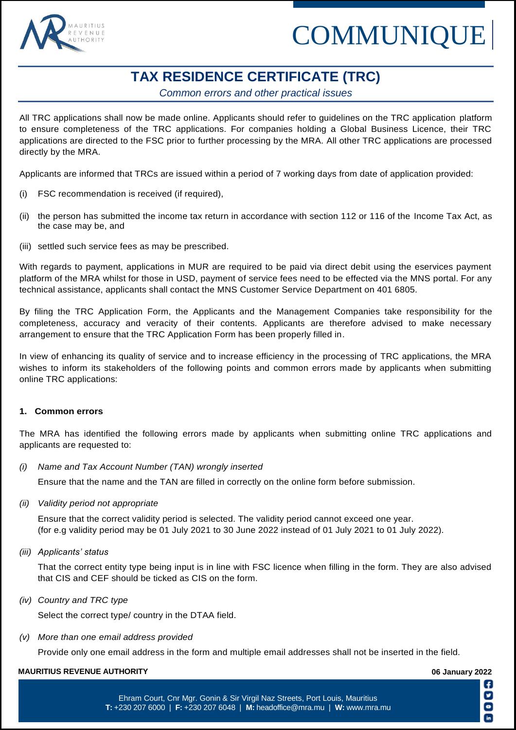

# COMMUNIQUE

## **TAX RESIDENCE CERTIFICATE (TRC)**

*Common errors and other practical issues*

All TRC applications shall now be made online. Applicants should refer to guidelines on the TRC application platform to ensure completeness of the TRC applications. For companies holding a Global Business Licence, their TRC applications are directed to the FSC prior to further processing by the MRA. All other TRC applications are processed directly by the MRA.

Applicants are informed that TRCs are issued within a period of 7 working days from date of application provided:

- (i) FSC recommendation is received (if required),
- (ii) the person has submitted the income tax return in accordance with section 112 or 116 of the Income Tax Act, as the case may be, and
- (iii) settled such service fees as may be prescribed.

With regards to payment, applications in MUR are required to be paid via direct debit using the eservices payment platform of the MRA whilst for those in USD, payment of service fees need to be effected via the MNS portal. For any technical assistance, applicants shall contact the MNS Customer Service Department on 401 6805.

By filing the TRC Application Form, the Applicants and the Management Companies take responsibility for the completeness, accuracy and veracity of their contents. Applicants are therefore advised to make necessary arrangement to ensure that the TRC Application Form has been properly filled in.

In view of enhancing its quality of service and to increase efficiency in the processing of TRC applications, the MRA wishes to inform its stakeholders of the following points and common errors made by applicants when submitting online TRC applications:

### **1. Common errors**

The MRA has identified the following errors made by applicants when submitting online TRC applications and applicants are requested to:

*(i) Name and Tax Account Number (TAN) wrongly inserted* 

Ensure that the name and the TAN are filled in correctly on the online form before submission.

*(ii) Validity period not appropriate* 

Ensure that the correct validity period is selected. The validity period cannot exceed one year. (for e.g validity period may be 01 July 2021 to 30 June 2022 instead of 01 July 2021 to 01 July 2022).

*(iii) Applicants' status*

That the correct entity type being input is in line with FSC licence when filling in the form. They are also advised that CIS and CEF should be ticked as CIS on the form.

*(iv) Country and TRC type* 

Select the correct type/ country in the DTAA field.

*(v) More than one email address provided* 

Provide only one email address in the form and multiple email addresses shall not be inserted in the field.

#### **MAURITIUS REVENUE AUTHORITY 06 January 2022**